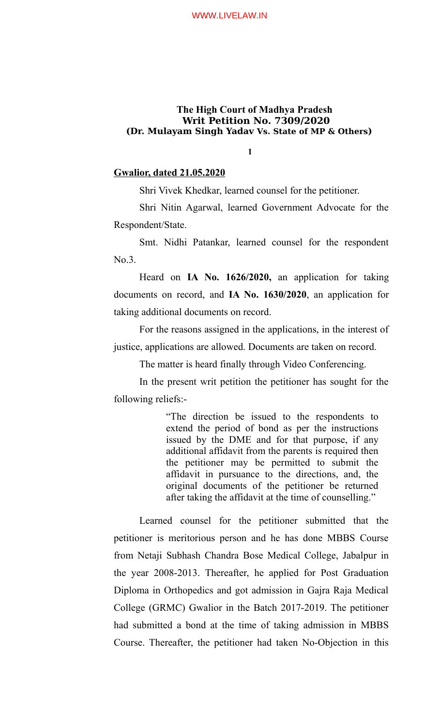**1**

# **Gwalior, dated 21.05.2020**

Shri Vivek Khedkar, learned counsel for the petitioner.

Shri Nitin Agarwal, learned Government Advocate for the Respondent/State.

Smt. Nidhi Patankar, learned counsel for the respondent No.3.

Heard on **IA No. 1626/2020,** an application for taking documents on record, and **IA No. 1630/2020**, an application for taking additional documents on record.

For the reasons assigned in the applications, in the interest of justice, applications are allowed. Documents are taken on record.

The matter is heard finally through Video Conferencing.

In the present writ petition the petitioner has sought for the following reliefs:-

> "The direction be issued to the respondents to extend the period of bond as per the instructions issued by the DME and for that purpose, if any additional affidavit from the parents is required then the petitioner may be permitted to submit the affidavit in pursuance to the directions, and, the original documents of the petitioner be returned after taking the affidavit at the time of counselling."

Learned counsel for the petitioner submitted that the petitioner is meritorious person and he has done MBBS Course from Netaji Subhash Chandra Bose Medical College, Jabalpur in the year 2008-2013. Thereafter, he applied for Post Graduation Diploma in Orthopedics and got admission in Gajra Raja Medical College (GRMC) Gwalior in the Batch 2017-2019. The petitioner had submitted a bond at the time of taking admission in MBBS Course. Thereafter, the petitioner had taken No-Objection in this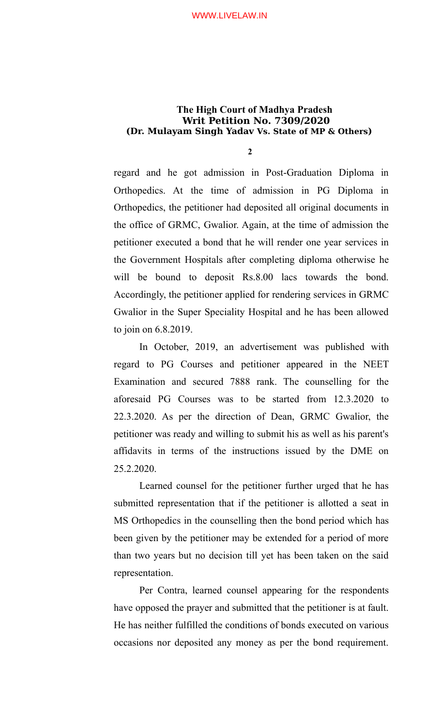**2**

regard and he got admission in Post-Graduation Diploma in Orthopedics. At the time of admission in PG Diploma in Orthopedics, the petitioner had deposited all original documents in the office of GRMC, Gwalior. Again, at the time of admission the petitioner executed a bond that he will render one year services in the Government Hospitals after completing diploma otherwise he will be bound to deposit Rs.8.00 lacs towards the bond. Accordingly, the petitioner applied for rendering services in GRMC Gwalior in the Super Speciality Hospital and he has been allowed to join on 6.8.2019.

In October, 2019, an advertisement was published with regard to PG Courses and petitioner appeared in the NEET Examination and secured 7888 rank. The counselling for the aforesaid PG Courses was to be started from 12.3.2020 to 22.3.2020. As per the direction of Dean, GRMC Gwalior, the petitioner was ready and willing to submit his as well as his parent's affidavits in terms of the instructions issued by the DME on 25.2.2020.

Learned counsel for the petitioner further urged that he has submitted representation that if the petitioner is allotted a seat in MS Orthopedics in the counselling then the bond period which has been given by the petitioner may be extended for a period of more than two years but no decision till yet has been taken on the said representation.

Per Contra, learned counsel appearing for the respondents have opposed the prayer and submitted that the petitioner is at fault. He has neither fulfilled the conditions of bonds executed on various occasions nor deposited any money as per the bond requirement.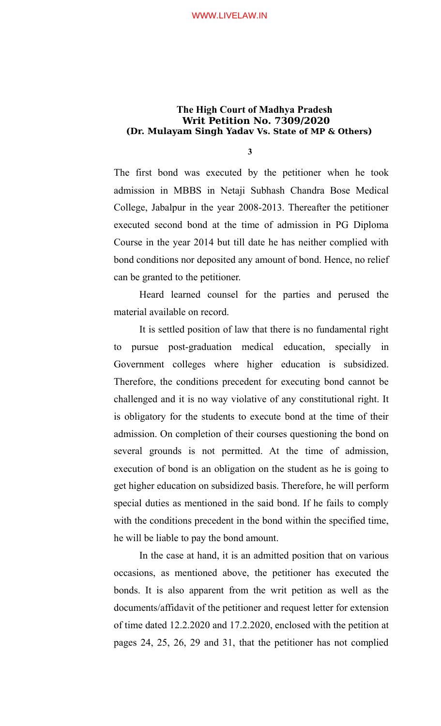**3**

The first bond was executed by the petitioner when he took admission in MBBS in Netaji Subhash Chandra Bose Medical College, Jabalpur in the year 2008-2013. Thereafter the petitioner executed second bond at the time of admission in PG Diploma Course in the year 2014 but till date he has neither complied with bond conditions nor deposited any amount of bond. Hence, no relief can be granted to the petitioner.

Heard learned counsel for the parties and perused the material available on record.

It is settled position of law that there is no fundamental right to pursue post-graduation medical education, specially in Government colleges where higher education is subsidized. Therefore, the conditions precedent for executing bond cannot be challenged and it is no way violative of any constitutional right. It is obligatory for the students to execute bond at the time of their admission. On completion of their courses questioning the bond on several grounds is not permitted. At the time of admission, execution of bond is an obligation on the student as he is going to get higher education on subsidized basis. Therefore, he will perform special duties as mentioned in the said bond. If he fails to comply with the conditions precedent in the bond within the specified time, he will be liable to pay the bond amount.

In the case at hand, it is an admitted position that on various occasions, as mentioned above, the petitioner has executed the bonds. It is also apparent from the writ petition as well as the documents/affidavit of the petitioner and request letter for extension of time dated 12.2.2020 and 17.2.2020, enclosed with the petition at pages 24, 25, 26, 29 and 31, that the petitioner has not complied